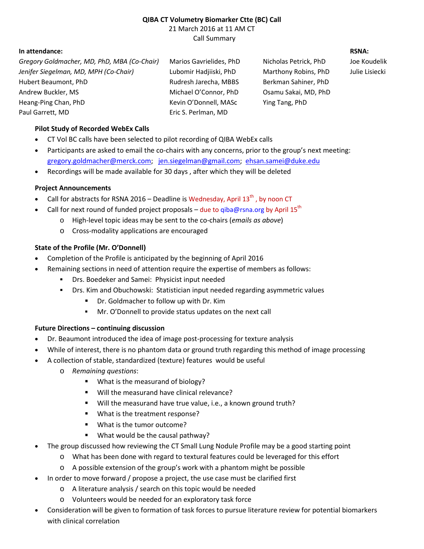### **QIBA CT Volumetry Biomarker Ctte (BC) Call** 21 March 2016 at 11 AM CT Call Summary

## **In attendance: RSNA:**

*Gregory Goldmacher, MD, PhD, MBA (Co-Chair)* Marios Gavrielides, PhD Nicholas Petrick, PhD Joe Koudelik *Jenifer Siegelman, MD, MPH (Co-Chair)* Lubomir Hadjiiski, PhD Marthony Robins, PhD Julie Lisiecki Hubert Beaumont, PhD Rudresh Jarecha, MBBS Berkman Sahiner, PhD Andrew Buckler, MS **Michael O'Connor, PhD** Osamu Sakai, MD, PhD Heang-Ping Chan, PhD **Kevin O'Donnell, MASc** Ying Tang, PhD Paul Garrett, MD Eric S. Perlman, MD

# **Pilot Study of Recorded WebEx Calls**

- · CT Vol BC calls have been selected to pilot recording of QIBA WebEx calls
- · Participants are asked to email the co-chairs with any concerns, prior to the group's next meeting: [gregory.goldmacher@merck.com;](mailto:gregory.goldmacher@merck.com) [jen.siegelman@gmail.com;](mailto:jen.siegelman@gmail.com) [ehsan.samei@duke.edu](mailto:ehsan.samei@duke.edu)
- Recordings will be made available for 30 days, after which they will be deleted

# **Project Announcements**

- Call for abstracts for RSNA 2016 Deadline is Wednesday, April 13<sup>th</sup>, by noon CT
- Call for next round of funded project proposals due to qiba@rsna.org by April 15<sup>th</sup>
	- o High-level topic ideas may be sent to the co-chairs (*emails as above*)
	- o Cross-modality applications are encouraged

# **State of the Profile (Mr. O'Donnell)**

- · Completion of the Profile is anticipated by the beginning of April 2016
- Remaining sections in need of attention require the expertise of members as follows:
	- **•** Drs. Boedeker and Samei: Physicist input needed
	- Drs. Kim and Obuchowski: Statistician input needed regarding asymmetric values
		- Dr. Goldmacher to follow up with Dr. Kim
		- Mr. O'Donnell to provide status updates on the next call

## **Future Directions – continuing discussion**

- Dr. Beaumont introduced the idea of image post-processing for texture analysis
- · While of interest, there is no phantom data or ground truth regarding this method of image processing
- · A collection of stable, standardized (texture) features would be useful
	- o *Remaining questions*:
		- **What is the measurand of biology?**
		- **Will the measurand have clinical relevance?**
		- Will the measurand have true value, i.e., a known ground truth?
		- **What is the treatment response?**
		- What is the tumor outcome?
		- **What would be the causal pathway?**
- · The group discussed how reviewing the CT Small Lung Nodule Profile may be a good starting point
	- o What has been done with regard to textural features could be leveraged for this effort
	- o A possible extension of the group's work with a phantom might be possible
- · In order to move forward / propose a project, the use case must be clarified first
	- o A literature analysis / search on this topic would be needed
	- o Volunteers would be needed for an exploratory task force
- · Consideration will be given to formation of task forces to pursue literature review for potential biomarkers with clinical correlation